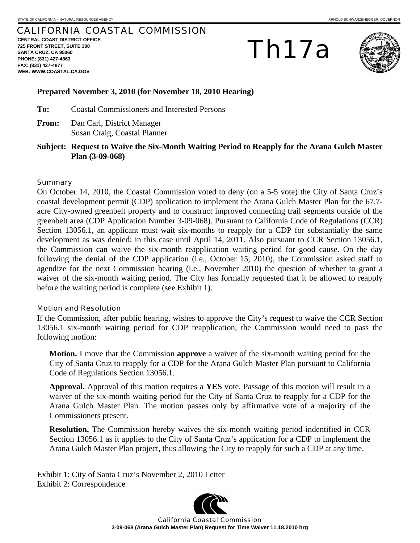## CALIFORNIA COASTAL COMMISSION

**CENTRAL COAST DISTRICT OFFICE 725 FRONT STREET, SUITE 300 SANTA CRUZ, CA 95060 PHONE: (831) 427-4863 FAX: (831) 427-4877 WEB: WWW.COASTAL.CA.GOV**

# Th17a



### **Prepared November 3, 2010 (for November 18, 2010 Hearing)**

**To:** Coastal Commissioners and Interested Persons

- **From:** Dan Carl, District Manager Susan Craig, Coastal Planner
- **Subject: Request to Waive the Six-Month Waiting Period to Reapply for the Arana Gulch Master Plan (3-09-068)**

#### **Summary**

On October 14, 2010, the Coastal Commission voted to deny (on a 5-5 vote) the City of Santa Cruz's coastal development permit (CDP) application to implement the Arana Gulch Master Plan for the 67.7 acre City-owned greenbelt property and to construct improved connecting trail segments outside of the greenbelt area (CDP Application Number 3-09-068). Pursuant to California Code of Regulations (CCR) Section 13056.1, an applicant must wait six-months to reapply for a CDP for substantially the same development as was denied; in this case until April 14, 2011. Also pursuant to CCR Section 13056.1, the Commission can waive the six-month reapplication waiting period for good cause. On the day following the denial of the CDP application (i.e., October 15, 2010), the Commission asked staff to agendize for the next Commission hearing (i.e., November 2010) the question of whether to grant a waiver of the six-month waiting period. The City has formally requested that it be allowed to reapply before the waiting period is complete (see Exhibit 1).

#### Motion and Resolution

If the Commission, after public hearing, wishes to approve the City's request to waive the CCR Section 13056.1 six-month waiting period for CDP reapplication, the Commission would need to pass the following motion:

**Motion.** I move that the Commission **approve** a waiver of the six-month waiting period for the City of Santa Cruz to reapply for a CDP for the Arana Gulch Master Plan pursuant to California Code of Regulations Section 13056.1.

**Approval.** Approval of this motion requires a **YES** vote. Passage of this motion will result in a waiver of the six-month waiting period for the City of Santa Cruz to reapply for a CDP for the Arana Gulch Master Plan. The motion passes only by affirmative vote of a majority of the Commissioners present.

**Resolution.** The Commission hereby waives the six-month waiting period indentified in CCR Section 13056.1 as it applies to the City of Santa Cruz's application for a CDP to implement the Arana Gulch Master Plan project, thus allowing the City to reapply for such a CDP at any time.

Exhibit 1: City of Santa Cruz's November 2, 2010 Letter Exhibit 2: Correspondence



California Coastal Commission **3-09-068 (Arana Gulch Master Plan) Request for Time Waiver 11.18.2010 hrg**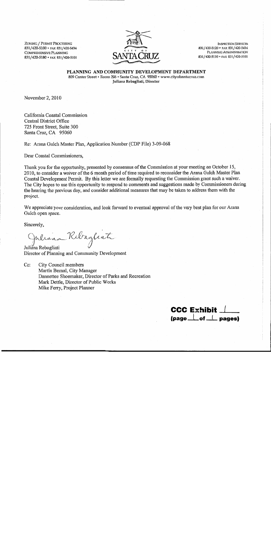**ZONING / PERMIT PROCESSING** 831/420-5100 · FAX 831/420-5434 COMPREHENSIVE PLANNING 831/420-5180 · FAX 831/420-5101



**INSPECTION SERVICES** 831/420-5120 • FAX 831/420-5434 PLANNING ADMINISTRATION 831/420-5110 · FAX 831/420-5101

PLANNING AND COMMUNITY DEVELOPMENT DEPARTMENT 809 Center Street • Room 206 • Santa Cruz, CA 95060 • www.cityofsantacruz.com Juliana Rebagliati, Director

November 2, 2010

California Coastal Commission Central District Office 725 Front Street, Suite 300 Santa Cruz, CA 95060

Re: Arana Gulch Master Plan, Application Number (CDP File) 3-09-068

Dear Coastal Commissioners,

Thank you for the opportunity, presented by consensus of the Commission at your meeting on October 15, 2010, to consider a waiver of the 6 month period of time required to reconsider the Arana Gulch Master Plan Coastal Development Permit. By this letter we are formally requesting the Commission grant such a waiver. The City hopes to use this opportunity to respond to comments and suggestions made by Commissioners during the hearing the previous day, and consider additional measures that may be taken to address them with the project.

We appreciate your consideration, and look forward to eventual approval of the very best plan for our Arana Gulch open space.

Sincerely,

piliana Rebagliate

Juliana Rebagliati Director of Planning and Community Development

 $C_{\rm C}$ : City Council members Martín Bernal, City Manager Dannettee Shoemaker, Director of Parks and Recreation Mark Dettle, Director of Public Works Mike Ferry, Project Planner